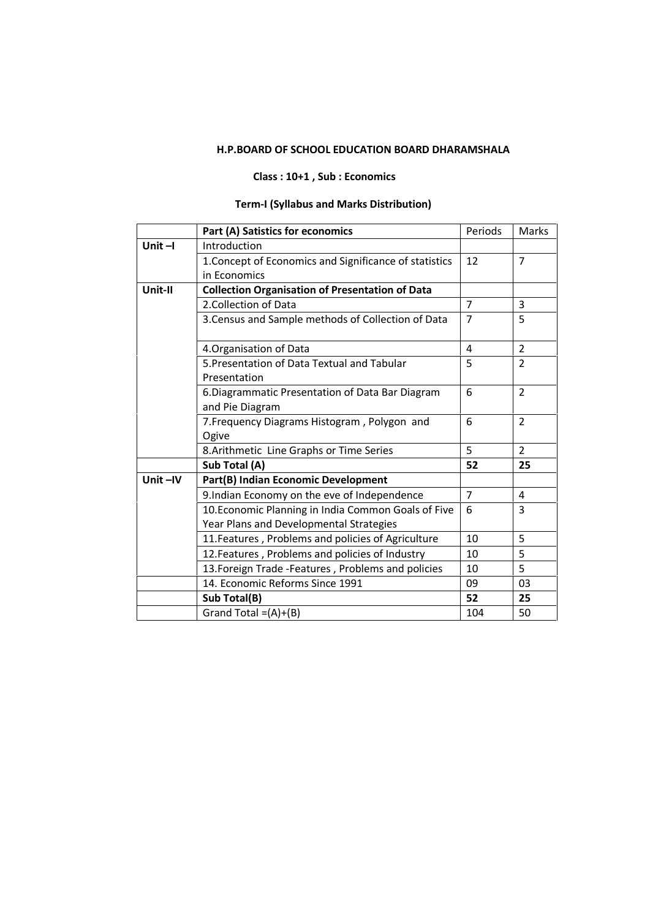## **H.P.BOARD OF SCHOOL EDUCATION BOARD DHARAMSHALA**

## **Class : 10+1 , Sub : Economics**

# **Term-I (Syllabus and Marks Distribution)**

|           | Part (A) Satistics for economics                       | Periods        | Marks          |
|-----------|--------------------------------------------------------|----------------|----------------|
| Unit $-I$ | Introduction                                           |                |                |
|           | 1. Concept of Economics and Significance of statistics | 12             | 7              |
|           | in Economics                                           |                |                |
| Unit-II   | <b>Collection Organisation of Presentation of Data</b> |                |                |
|           | 2. Collection of Data                                  | 7              | 3              |
|           | 3. Census and Sample methods of Collection of Data     | $\overline{7}$ | 5              |
|           | 4. Organisation of Data                                | 4              | $\overline{2}$ |
|           | 5. Presentation of Data Textual and Tabular            | 5              | $\overline{2}$ |
|           | Presentation                                           |                |                |
|           | 6. Diagrammatic Presentation of Data Bar Diagram       | 6              | $\overline{2}$ |
|           | and Pie Diagram                                        |                |                |
|           | 7. Frequency Diagrams Histogram, Polygon and           | 6              | $\overline{2}$ |
|           | Ogive                                                  |                |                |
|           | 8. Arithmetic Line Graphs or Time Series               | 5              | $\overline{2}$ |
|           | Sub Total (A)                                          | 52             | 25             |
| Unit-IV   | Part(B) Indian Economic Development                    |                |                |
|           | 9.Indian Economy on the eve of Independence            | $\overline{7}$ | 4              |
|           | 10. Economic Planning in India Common Goals of Five    | 6              | 3              |
|           | Year Plans and Developmental Strategies                |                |                |
|           | 11. Features, Problems and policies of Agriculture     | 10             | 5              |
|           | 12. Features, Problems and policies of Industry        | 10             | 5              |
|           | 13. Foreign Trade - Features, Problems and policies    | 10             | 5              |
|           | 14. Economic Reforms Since 1991                        | 09             | 03             |
|           | Sub Total(B)                                           | 52             | 25             |
|           | Grand Total = $(A)+(B)$                                | 104            | 50             |